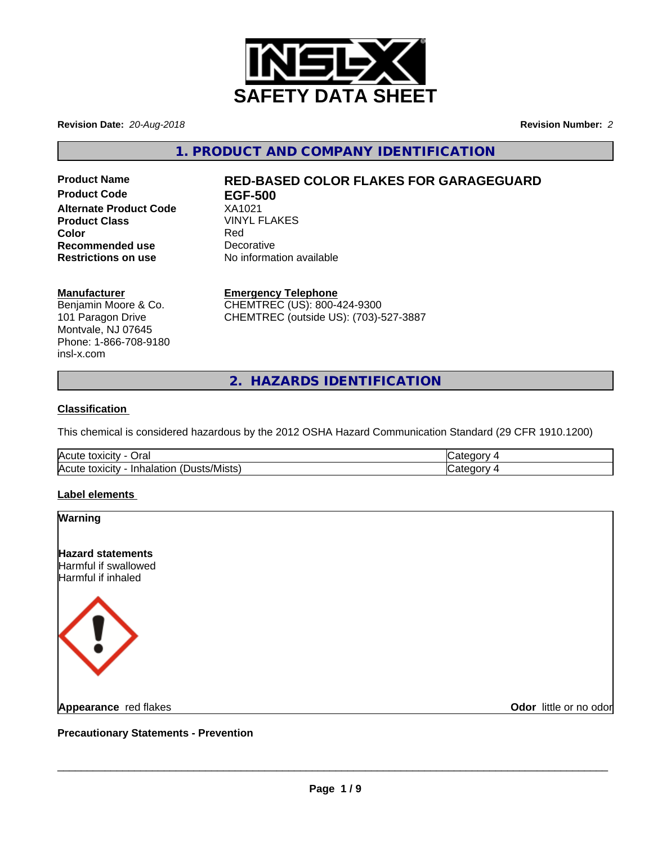

**Revision Date:** *20-Aug-2018* **Revision Number:** *2*

**1. PRODUCT AND COMPANY IDENTIFICATION**

**Product Code EGF-500 Alternate Product Code** XA1021 **Product Class** VINYL FLAKES **Color** Red **Recommended use** Decorative<br> **Restrictions on use** No informa

# **Product Name RED-BASED COLOR FLAKES FOR GARAGEGUARD**

**No information available** 

#### **Manufacturer**

Benjamin Moore & Co. 101 Paragon Drive Montvale, NJ 07645 Phone: 1-866-708-9180 insl-x.com

**Emergency Telephone** CHEMTREC (US): 800-424-9300

CHEMTREC (outside US): (703)-527-3887

**2. HAZARDS IDENTIFICATION**

#### **Classification**

This chemical is considered hazardous by the 2012 OSHA Hazard Communication Standard (29 CFR 1910.1200)

| Acute<br>⊃ral<br>⇒ ιΟΧΙCιτ∨ ⊹                                    | $\sim$ $\sim$ $\sim$ |
|------------------------------------------------------------------|----------------------|
| lAcute<br>/Mistsˈ<br>.<br>וו ונ<br>, τοχιςιτν<br>aiation<br>וכוכ | $\sim$ $\sim$ $\sim$ |

#### **Label elements**

| <b>Warning</b>                                                         |                        |
|------------------------------------------------------------------------|------------------------|
| <b>Hazard statements</b><br>Harmful if swallowed<br>Harmful if inhaled |                        |
| 〈 ! 〉                                                                  |                        |
| Appearance red flakes                                                  | Odor little or no odor |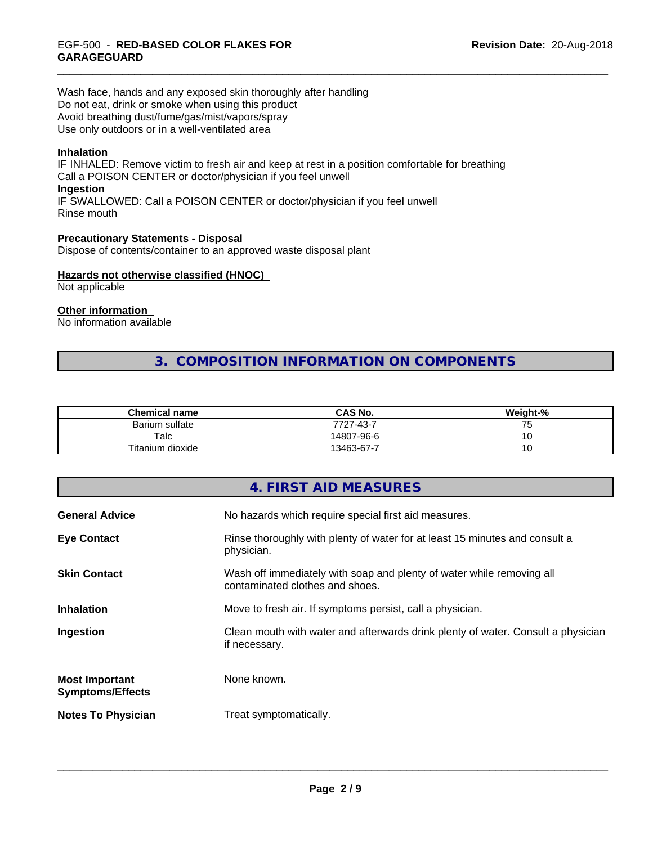Wash face, hands and any exposed skin thoroughly after handling Do not eat, drink or smoke when using this product Avoid breathing dust/fume/gas/mist/vapors/spray Use only outdoors or in a well-ventilated area

#### **Inhalation**

IF INHALED: Remove victim to fresh air and keep at rest in a position comfortable for breathing Call a POISON CENTER or doctor/physician if you feel unwell **Ingestion** IF SWALLOWED: Call a POISON CENTER or doctor/physician if you feel unwell Rinse mouth

**Precautionary Statements - Disposal** Dispose of contents/container to an approved waste disposal plant

#### **Hazards not otherwise classified (HNOC)**

Not applicable

### **Other information**

No information available

## **3. COMPOSITION INFORMATION ON COMPONENTS**

| <b>Chemical name</b> | <b>CAS No.</b>              | Weight-% |
|----------------------|-----------------------------|----------|
| Barium sulfate       | $-6.43 - 7$<br>7707<br>، ۲۰ | ັ        |
| $\mathsf {Talc}$     | 14807-96-6                  | ັບ       |
| Titanium dioxide     | 13463-67-7                  | ◡        |

|                                                  | 4. FIRST AID MEASURES                                                                                    |
|--------------------------------------------------|----------------------------------------------------------------------------------------------------------|
| <b>General Advice</b>                            | No hazards which require special first aid measures.                                                     |
| <b>Eye Contact</b>                               | Rinse thoroughly with plenty of water for at least 15 minutes and consult a<br>physician.                |
| <b>Skin Contact</b>                              | Wash off immediately with soap and plenty of water while removing all<br>contaminated clothes and shoes. |
| <b>Inhalation</b>                                | Move to fresh air. If symptoms persist, call a physician.                                                |
| Ingestion                                        | Clean mouth with water and afterwards drink plenty of water. Consult a physician<br>if necessary.        |
| <b>Most Important</b><br><b>Symptoms/Effects</b> | None known.                                                                                              |
| <b>Notes To Physician</b>                        | Treat symptomatically.                                                                                   |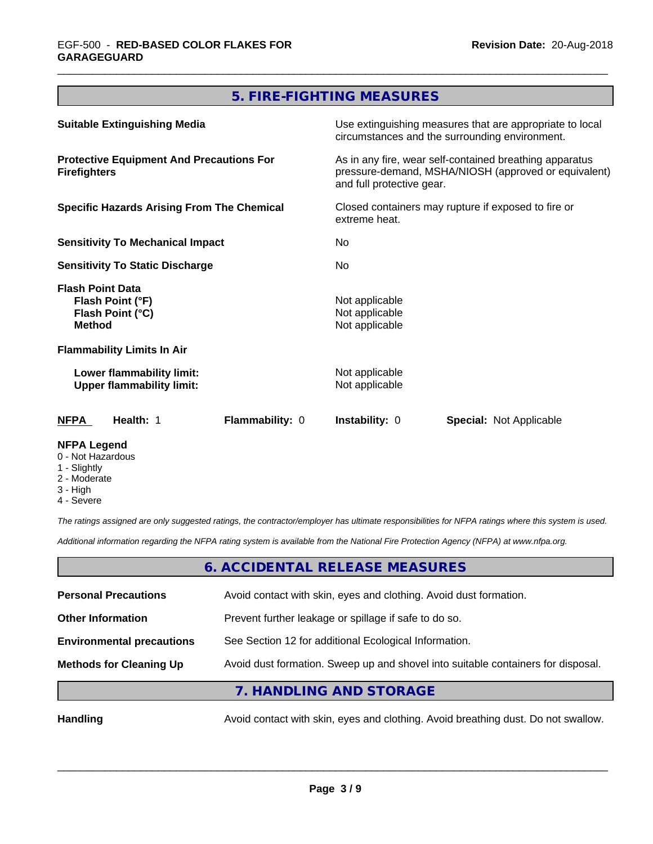## **5. FIRE-FIGHTING MEASURES**

| <b>Suitable Extinguishing Media</b>                                                                                                                                                                              |                 | Use extinguishing measures that are appropriate to local<br>circumstances and the surrounding environment.                                                                                                                         |                                |                                                                                  |  |                                                    |  |
|------------------------------------------------------------------------------------------------------------------------------------------------------------------------------------------------------------------|-----------------|------------------------------------------------------------------------------------------------------------------------------------------------------------------------------------------------------------------------------------|--------------------------------|----------------------------------------------------------------------------------|--|----------------------------------------------------|--|
| <b>Protective Equipment And Precautions For</b><br><b>Firefighters</b><br><b>Specific Hazards Arising From The Chemical</b><br><b>Sensitivity To Mechanical Impact</b><br><b>Sensitivity To Static Discharge</b> |                 | As in any fire, wear self-contained breathing apparatus<br>pressure-demand, MSHA/NIOSH (approved or equivalent)<br>and full protective gear.<br>Closed containers may rupture if exposed to fire or<br>extreme heat.<br>No.<br>No. |                                |                                                                                  |  |                                                    |  |
|                                                                                                                                                                                                                  |                 |                                                                                                                                                                                                                                    |                                | <b>Flash Point Data</b><br>Flash Point (°F)<br>Flash Point (°C)<br><b>Method</b> |  | Not applicable<br>Not applicable<br>Not applicable |  |
|                                                                                                                                                                                                                  |                 |                                                                                                                                                                                                                                    |                                | <b>Flammability Limits In Air</b>                                                |  |                                                    |  |
|                                                                                                                                                                                                                  |                 |                                                                                                                                                                                                                                    |                                | Lower flammability limit:<br><b>Upper flammability limit:</b>                    |  | Not applicable<br>Not applicable                   |  |
| <b>NFPA</b><br>Health: 1                                                                                                                                                                                         | Flammability: 0 | <b>Instability: 0</b>                                                                                                                                                                                                              | <b>Special: Not Applicable</b> |                                                                                  |  |                                                    |  |
| <b>NFPA Legend</b>                                                                                                                                                                                               |                 |                                                                                                                                                                                                                                    |                                |                                                                                  |  |                                                    |  |

- 0 Not Hazardous
- 1 Slightly
- 2 Moderate
- 3 High
- 4 Severe

*The ratings assigned are only suggested ratings, the contractor/employer has ultimate responsibilities for NFPA ratings where this system is used.*

*Additional information regarding the NFPA rating system is available from the National Fire Protection Agency (NFPA) at www.nfpa.org.*

#### **6. ACCIDENTAL RELEASE MEASURES**

| <b>Personal Precautions</b>      | Avoid contact with skin, eyes and clothing. Avoid dust formation.                |
|----------------------------------|----------------------------------------------------------------------------------|
| <b>Other Information</b>         | Prevent further leakage or spillage if safe to do so.                            |
| <b>Environmental precautions</b> | See Section 12 for additional Ecological Information.                            |
| <b>Methods for Cleaning Up</b>   | Avoid dust formation. Sweep up and shovel into suitable containers for disposal. |
|                                  | 7. HANDLING AND STORAGE                                                          |

Handling **Handling Avoid contact with skin, eyes and clothing. Avoid breathing dust. Do not swallow.**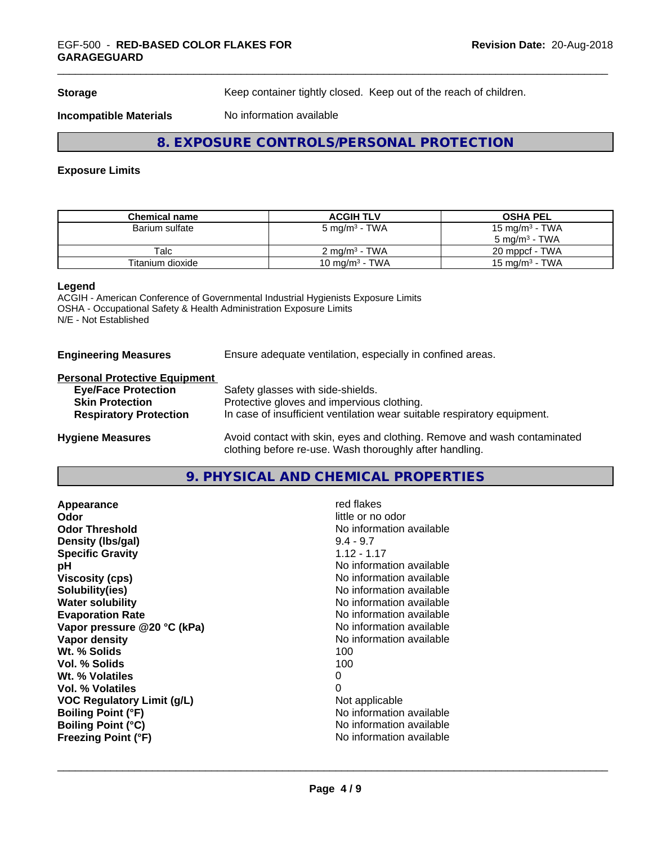**Storage** Keep container tightly closed. Keep out of the reach of children.

**Incompatible Materials** No information available

## **8. EXPOSURE CONTROLS/PERSONAL PROTECTION**

#### **Exposure Limits**

| <b>Chemical name</b> | <b>ACGIH TLV</b>         | <b>OSHA PEL</b>            |
|----------------------|--------------------------|----------------------------|
| Barium sulfate       | 5 mg/m $^3$ - TWA        | 15 mg/m <sup>3</sup> - TWA |
|                      |                          | $5 \text{ ma/m}^3$ - TWA   |
| Talc                 | $2 \text{ ma/m}^3$ - TWA | 20 mppcf - TWA             |
| Titanium dioxide     | 10 mg/m $3$ - TWA        | $15 \text{ ma/m}^3$ - TWA  |

#### **Legend**

ACGIH - American Conference of Governmental Industrial Hygienists Exposure Limits OSHA - Occupational Safety & Health Administration Exposure Limits N/E - Not Established

#### **Engineering Measures** Ensure adequate ventilation, especially in confined areas.

#### **Personal Protective Equipment**

| <b>Eye/Face Protection</b>    | Safety glasses with side-shields.                                        |
|-------------------------------|--------------------------------------------------------------------------|
| <b>Skin Protection</b>        | Protective gloves and impervious clothing.                               |
| <b>Respiratory Protection</b> | In case of insufficient ventilation wear suitable respiratory equipment. |
| <b>Hygiene Measures</b>       | Avoid contact with skin, eyes and clothing. Remove and wash contaminated |

**9. PHYSICAL AND CHEMICAL PROPERTIES**

clothing before re-use. Wash thoroughly after handling.

| red flakes               |
|--------------------------|
| little or no odor        |
| No information available |
| $9.4 - 9.7$              |
| $1.12 - 1.17$            |
| No information available |
| No information available |
| No information available |
| No information available |
| No information available |
| No information available |
| No information available |
| 100                      |
| 100                      |
| 0                        |
| 0                        |
| Not applicable           |
| No information available |
| No information available |
| No information available |
|                          |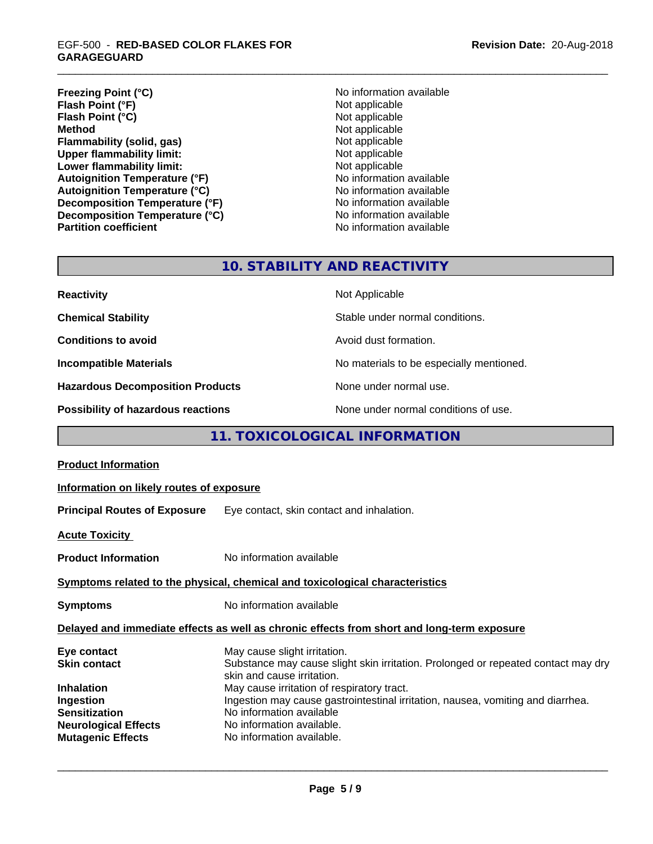## \_\_\_\_\_\_\_\_\_\_\_\_\_\_\_\_\_\_\_\_\_\_\_\_\_\_\_\_\_\_\_\_\_\_\_\_\_\_\_\_\_\_\_\_\_\_\_\_\_\_\_\_\_\_\_\_\_\_\_\_\_\_\_\_\_\_\_\_\_\_\_\_\_\_\_\_\_\_\_\_\_\_\_\_\_\_\_\_\_\_\_\_\_ EGF-500 - **RED-BASED COLOR FLAKES FOR GARAGEGUARD**

**Freezing Point (°C)** No information available **Flash Point (°F)**<br> **Flash Point (°C)**<br> **Flash Point (°C)**<br> **C Flash Point (°C) Method** Not applicable<br> **Flammability (solid, gas)** Not applicable Not applicable **Flammability (solid, gas)**<br> **Upper flammability limit:**<br>
Upper flammability limit:<br>
Not applicable **Upper flammability limit:**<br> **Lower flammability limit:**<br>
Not applicable<br>
Not applicable **Lower flammability limit:**<br> **Autoignition Temperature (°F)** Not applicable available and the Mustafable and Mustafable and Mustafable and Mu **Autoignition Temperature (°F)**<br> **Autoignition Temperature (°C)** No information available **Autoignition Temperature (°C) Decomposition Temperature (°F)** No information available **Decomposition Temperature (°C)**<br> **Partition coefficient Partition coefficient 1 Partition available No information available** 

**No information available** 

## **10. STABILITY AND REACTIVITY**

| <b>Reactivity</b>                         | Not Applicable                           |
|-------------------------------------------|------------------------------------------|
| <b>Chemical Stability</b>                 | Stable under normal conditions.          |
| <b>Conditions to avoid</b>                | Avoid dust formation.                    |
| <b>Incompatible Materials</b>             | No materials to be especially mentioned. |
| <b>Hazardous Decomposition Products</b>   | None under normal use.                   |
| <b>Possibility of hazardous reactions</b> | None under normal conditions of use.     |

## **11. TOXICOLOGICAL INFORMATION**

| Information on likely routes of exposure                                                                                                                                                                                                                                                                                                                               |  |  |
|------------------------------------------------------------------------------------------------------------------------------------------------------------------------------------------------------------------------------------------------------------------------------------------------------------------------------------------------------------------------|--|--|
| <b>Principal Routes of Exposure</b> Eye contact, skin contact and inhalation.                                                                                                                                                                                                                                                                                          |  |  |
|                                                                                                                                                                                                                                                                                                                                                                        |  |  |
| No information available                                                                                                                                                                                                                                                                                                                                               |  |  |
| Symptoms related to the physical, chemical and toxicological characteristics                                                                                                                                                                                                                                                                                           |  |  |
| No information available                                                                                                                                                                                                                                                                                                                                               |  |  |
| Delayed and immediate effects as well as chronic effects from short and long-term exposure                                                                                                                                                                                                                                                                             |  |  |
| May cause slight irritation.<br>Substance may cause slight skin irritation. Prolonged or repeated contact may dry<br>skin and cause irritation.<br>May cause irritation of respiratory tract.<br>Ingestion may cause gastrointestinal irritation, nausea, vomiting and diarrhea.<br>No information available<br>No information available.<br>No information available. |  |  |
|                                                                                                                                                                                                                                                                                                                                                                        |  |  |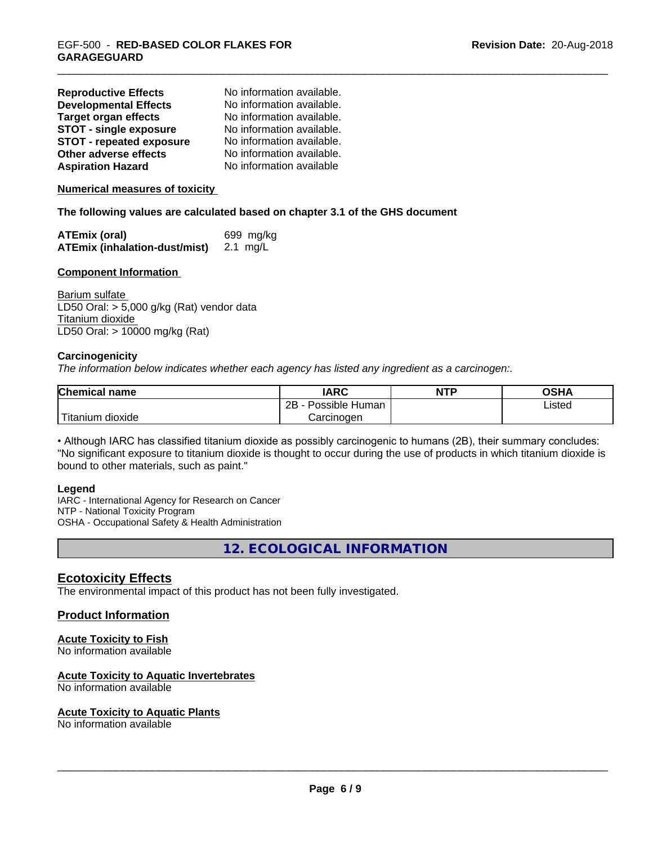| <b>Reproductive Effects</b>     | No information available. |
|---------------------------------|---------------------------|
| <b>Developmental Effects</b>    | No information available. |
| <b>Target organ effects</b>     | No information available. |
| <b>STOT - single exposure</b>   | No information available. |
| <b>STOT - repeated exposure</b> | No information available. |
| Other adverse effects           | No information available. |
| <b>Aspiration Hazard</b>        | No information available  |

**Numerical measures of toxicity**

**The following values are calculated based on chapter 3.1 of the GHS document**

| <b>ATEmix (oral)</b>                 | 699 mg/kg |
|--------------------------------------|-----------|
| <b>ATEmix (inhalation-dust/mist)</b> | 2.1 mg/L  |

#### **Component Information**

Barium sulfate LD50 Oral: > 5,000 g/kg (Rat) vendor data Titanium dioxide LD50 Oral: > 10000 mg/kg (Rat)

#### **Carcinogenicity**

*The information below indicateswhether each agency has listed any ingredient as a carcinogen:.*

| <b>Chemical name</b>  | <b>IARC</b>          | <b>NTP</b> | <b>OSHA</b> |
|-----------------------|----------------------|------------|-------------|
|                       | 2B<br>Possible Human |            | Listed      |
| Titanium<br>dioxide ו | Carcinogen           |            |             |

• Although IARC has classified titanium dioxide as possibly carcinogenic to humans (2B), their summary concludes: "No significant exposure to titanium dioxide is thought to occur during the use of products in which titanium dioxide is bound to other materials, such as paint."

#### **Legend**

IARC - International Agency for Research on Cancer NTP - National Toxicity Program OSHA - Occupational Safety & Health Administration

**12. ECOLOGICAL INFORMATION**

#### **Ecotoxicity Effects**

The environmental impact of this product has not been fully investigated.

#### **Product Information**

#### **Acute Toxicity to Fish**

No information available

#### **Acute Toxicity to Aquatic Invertebrates**

No information available

#### **Acute Toxicity to Aquatic Plants**

No information available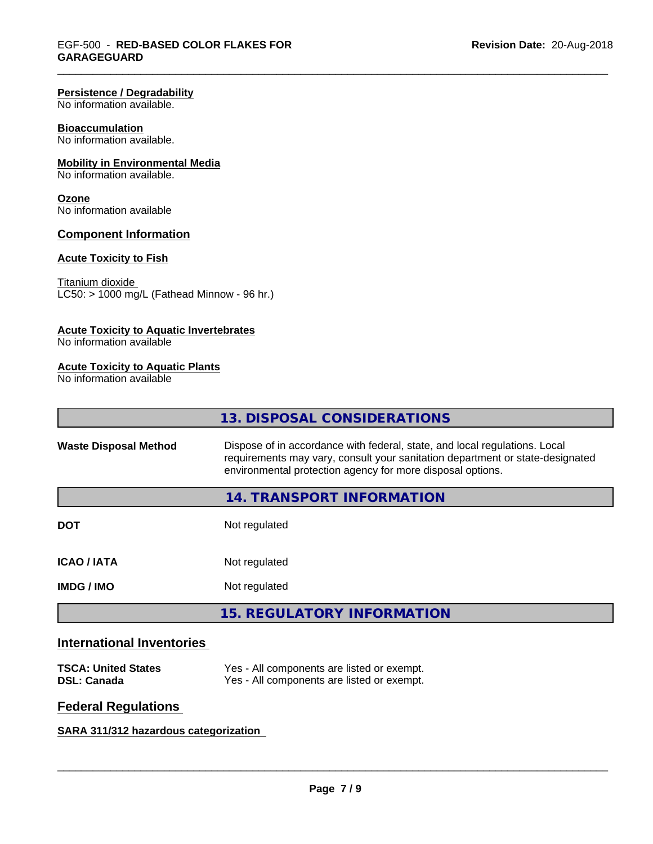#### **Persistence / Degradability**

No information available.

#### **Bioaccumulation**

No information available.

#### **Mobility in Environmental Media**

No information available.

#### **Ozone**

No information available

#### **Component Information**

#### **Acute Toxicity to Fish**

#### Titanium dioxide

 $\overline{\text{LC50:}}$  > 1000 mg/L (Fathead Minnow - 96 hr.)

#### **Acute Toxicity to Aquatic Invertebrates**

No information available

#### **Acute Toxicity to Aquatic Plants**

No information available

|                              | 13. DISPOSAL CONSIDERATIONS                                                                                                                                                                                               |
|------------------------------|---------------------------------------------------------------------------------------------------------------------------------------------------------------------------------------------------------------------------|
| <b>Waste Disposal Method</b> | Dispose of in accordance with federal, state, and local regulations. Local<br>requirements may vary, consult your sanitation department or state-designated<br>environmental protection agency for more disposal options. |
|                              | 14. TRANSPORT INFORMATION                                                                                                                                                                                                 |
| <b>DOT</b>                   | Not regulated                                                                                                                                                                                                             |
| <b>ICAO/IATA</b>             | Not regulated                                                                                                                                                                                                             |
| <b>IMDG/IMO</b>              | Not regulated                                                                                                                                                                                                             |
|                              | <b>15. REGULATORY INFORMATION</b>                                                                                                                                                                                         |
|                              |                                                                                                                                                                                                                           |

## **International Inventories**

| <b>TSCA: United States</b> | Yes - All components are listed or exempt. |
|----------------------------|--------------------------------------------|
| <b>DSL: Canada</b>         | Yes - All components are listed or exempt. |

## **Federal Regulations**

## **SARA 311/312 hazardous categorization**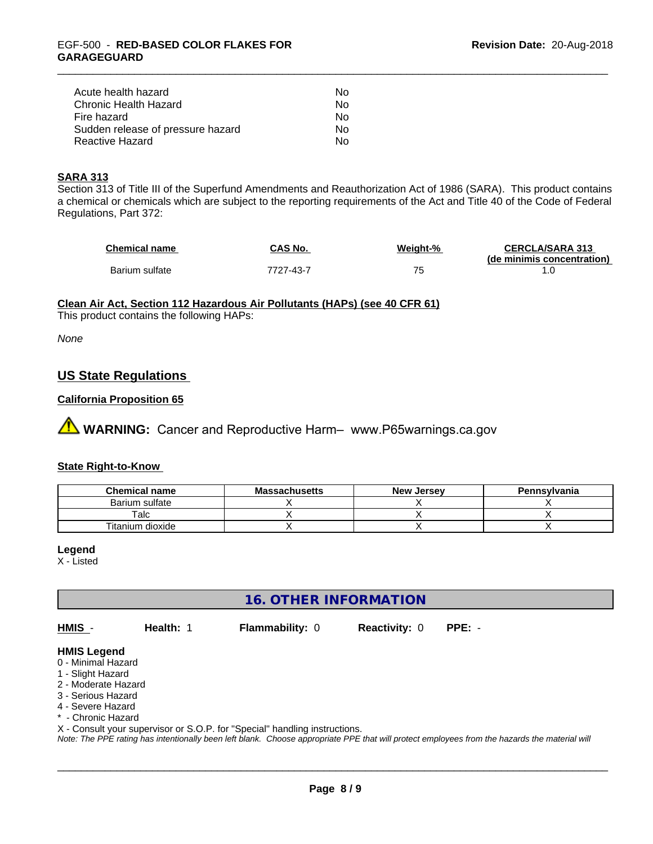| Acute health hazard               | Nο |
|-----------------------------------|----|
| Chronic Health Hazard             | Nο |
| Fire hazard                       | Nο |
| Sudden release of pressure hazard | N٥ |
| Reactive Hazard                   | N٥ |

#### **SARA 313**

Section 313 of Title III of the Superfund Amendments and Reauthorization Act of 1986 (SARA). This product contains a chemical or chemicals which are subject to the reporting requirements of the Act and Title 40 of the Code of Federal Regulations, Part 372:

| <b>Chemical name</b> | CAS No.   | Weight-% | <b>CERCLA/SARA 313</b>     |
|----------------------|-----------|----------|----------------------------|
|                      |           |          | (de minimis concentration) |
| Barium sulfate       | 7727-43-7 |          |                            |

#### **Clean Air Act,Section 112 Hazardous Air Pollutants (HAPs) (see 40 CFR 61)**

This product contains the following HAPs:

*None*

## **US State Regulations**

#### **California Proposition 65**

**AN** WARNING: Cancer and Reproductive Harm– www.P65warnings.ca.gov

#### **State Right-to-Know**

| <b>Chemical name</b> | <b>Massachusetts</b> | <b>New Jersey</b> | Pennsylvania |
|----------------------|----------------------|-------------------|--------------|
| Barium sulfate       |                      |                   |              |
| $\mathsf {T}$ alc    |                      |                   |              |
| Titanium dioxide     |                      |                   |              |

#### **Legend**

X - Listed

## **16. OTHER INFORMATION**

**HMIS** - **Health:** 1 **Flammability:** 0 **Reactivity:** 0 **PPE:** -

 $\overline{\phantom{a}}$  ,  $\overline{\phantom{a}}$  ,  $\overline{\phantom{a}}$  ,  $\overline{\phantom{a}}$  ,  $\overline{\phantom{a}}$  ,  $\overline{\phantom{a}}$  ,  $\overline{\phantom{a}}$  ,  $\overline{\phantom{a}}$  ,  $\overline{\phantom{a}}$  ,  $\overline{\phantom{a}}$  ,  $\overline{\phantom{a}}$  ,  $\overline{\phantom{a}}$  ,  $\overline{\phantom{a}}$  ,  $\overline{\phantom{a}}$  ,  $\overline{\phantom{a}}$  ,  $\overline{\phantom{a}}$ 

#### **HMIS Legend**

- 0 Minimal Hazard
- 1 Slight Hazard
- 2 Moderate Hazard
- 3 Serious Hazard
- 4 Severe Hazard
- \* Chronic Hazard

X - Consult your supervisor or S.O.P. for "Special" handling instructions.

*Note: The PPE rating has intentionally been left blank. Choose appropriate PPE that will protect employees from the hazards the material will*